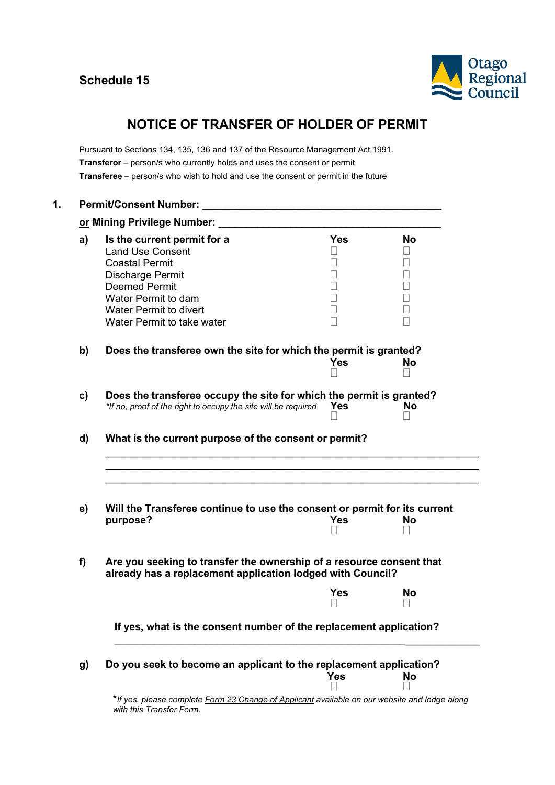

# **NOTICE OF TRANSFER OF HOLDER OF PERMIT**

Pursuant to Sections 134, 135, 136 and 137 of the Resource Management Act 1991. **Transferor** – person/s who currently holds and uses the consent or permit **Transferee** – person/s who wish to hold and use the consent or permit in the future

| a)           | Is the current permit for a                                                                                                        | <b>Yes</b>               | <b>No</b> |  |  |
|--------------|------------------------------------------------------------------------------------------------------------------------------------|--------------------------|-----------|--|--|
|              | <b>Land Use Consent</b>                                                                                                            | $\overline{\phantom{a}}$ |           |  |  |
|              | <b>Coastal Permit</b>                                                                                                              |                          |           |  |  |
|              | Discharge Permit                                                                                                                   |                          |           |  |  |
|              | <b>Deemed Permit</b>                                                                                                               | $\overline{\phantom{a}}$ |           |  |  |
|              | Water Permit to dam                                                                                                                | $\overline{\phantom{a}}$ |           |  |  |
|              | <b>Water Permit to divert</b>                                                                                                      | $\Box$                   |           |  |  |
|              | Water Permit to take water                                                                                                         |                          |           |  |  |
| b)           | Does the transferee own the site for which the permit is granted?                                                                  |                          |           |  |  |
|              |                                                                                                                                    | Yes                      | <b>No</b> |  |  |
|              |                                                                                                                                    |                          |           |  |  |
| $\mathbf{c}$ | Does the transferee occupy the site for which the permit is granted?<br><b>No</b>                                                  |                          |           |  |  |
|              | *If no, proof of the right to occupy the site will be required                                                                     | <b>Yes</b>               |           |  |  |
|              | What is the current purpose of the consent or permit?                                                                              |                          |           |  |  |
|              | Will the Transferee continue to use the consent or permit for its current                                                          | <b>Yes</b>               | No        |  |  |
| d)<br>e)     | purpose?                                                                                                                           |                          |           |  |  |
| f)           | Are you seeking to transfer the ownership of a resource consent that<br>already has a replacement application lodged with Council? |                          |           |  |  |
|              |                                                                                                                                    | Yes                      | No        |  |  |
|              | If yes, what is the consent number of the replacement application?                                                                 |                          |           |  |  |
| g)           | Do you seek to become an applicant to the replacement application?                                                                 |                          |           |  |  |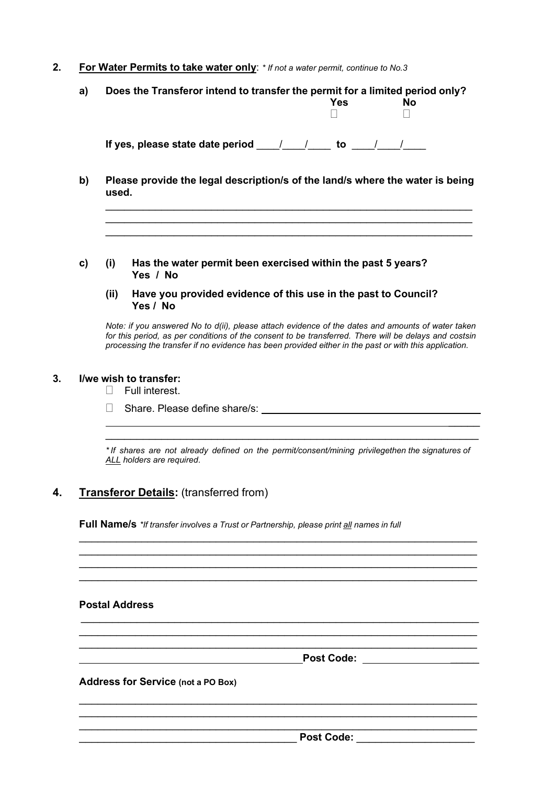### **2. For Water Permits to take water only**: *\* If not a water permit, continue to No.3*

- **a) Does the Transferor intend to transfer the permit for a limited period only? Yes No**  $\Box$ **If yes, please state date period** \_\_\_\_/\_\_\_\_/\_\_\_\_ **to** \_\_\_\_/\_\_\_\_/\_\_\_\_
- **b) Please provide the legal description/s of the land/s where the water is being used.**

\_\_\_\_\_\_\_\_\_\_\_\_\_\_\_\_\_\_\_\_\_\_\_\_\_\_\_\_\_\_\_\_\_\_\_\_\_\_\_\_\_\_\_\_\_\_\_\_\_\_\_\_\_\_\_\_\_\_\_ \_\_\_\_\_\_\_\_\_\_\_\_\_\_\_\_\_\_\_\_\_\_\_\_\_\_\_\_\_\_\_\_\_\_\_\_\_\_\_\_\_\_\_\_\_\_\_\_\_\_\_\_\_\_\_\_\_\_\_ \_\_\_\_\_\_\_\_\_\_\_\_\_\_\_\_\_\_\_\_\_\_\_\_\_\_\_\_\_\_\_\_\_\_\_\_\_\_\_\_\_\_\_\_\_\_\_\_\_\_\_\_\_\_\_\_\_\_\_

- **c) (i) Has the water permit been exercised within the past 5 years? Yes / No**
	- **(ii) Have you provided evidence of this use in the past to Council? Yes / No**

*Note: if you answered No to d(ii), please attach evidence of the dates and amounts of water taken* for this period, as per conditions of the consent to be transferred. There will be delays and costsin *processing the transfer if no evidence has been provided either in the past or with this application.*

#### **3. I/we wish to transfer:**

- $\Box$  Full interest.
- $\Box$  Share. Please define share/s:  $\Box$

*\* If shares are not already defined on the permit/consent/mining privilegethen the signatures of ALL holders are required*.

\_\_\_\_\_\_\_\_\_\_\_\_\_\_\_\_\_\_\_\_\_\_\_\_\_\_\_\_\_\_\_\_\_\_\_\_\_\_\_\_\_\_\_\_\_\_\_\_\_\_\_\_\_\_\_\_\_\_\_\_\_\_\_\_ \_\_\_\_\_\_\_\_\_\_\_\_\_\_\_\_\_\_\_\_\_\_\_\_\_\_\_\_\_\_\_\_\_\_\_\_\_\_\_\_\_\_\_\_\_\_\_\_\_\_\_\_\_\_\_\_\_\_\_\_\_\_\_\_ \_\_\_\_\_\_\_\_\_\_\_\_\_\_\_\_\_\_\_\_\_\_\_\_\_\_\_\_\_\_\_\_\_\_\_\_\_\_\_\_\_\_\_\_\_\_\_\_\_\_\_\_\_\_\_\_\_\_\_\_\_\_\_\_ \_\_\_\_\_\_\_\_\_\_\_\_\_\_\_\_\_\_\_\_\_\_\_\_\_\_\_\_\_\_\_\_\_\_\_\_\_\_\_\_\_\_\_\_\_\_\_\_\_\_\_\_\_\_\_\_\_\_\_\_\_\_\_\_

\_\_\_\_\_\_\_\_\_\_\_\_\_\_\_\_\_\_\_\_\_\_\_\_\_\_\_\_\_\_\_\_\_\_\_\_\_\_\_\_\_\_\_\_\_\_\_\_\_\_\_\_\_\_\_\_\_\_\_\_\_\_\_\_ \_\_\_\_\_\_\_\_\_\_\_\_\_\_\_\_\_\_\_\_\_\_\_\_\_\_\_\_\_\_\_\_\_\_\_\_\_\_\_\_\_\_\_\_\_\_\_\_\_\_\_\_\_\_\_\_\_\_\_\_\_\_\_\_ \_\_\_\_\_\_\_\_\_\_\_\_\_\_\_\_\_\_\_\_\_\_\_\_\_\_\_\_\_\_\_\_\_\_\_\_\_\_\_\_\_\_\_\_\_\_\_\_\_\_\_\_\_\_\_\_\_\_\_\_\_\_\_\_

\_\_\_\_\_\_\_\_\_\_\_\_\_\_\_\_\_\_\_\_\_\_\_\_\_\_\_\_\_\_\_\_\_\_\_\_\_\_\_\_\_\_\_\_\_\_\_\_\_\_\_\_\_\_\_\_\_\_\_\_\_\_\_\_ \_\_\_\_\_\_\_\_\_\_\_\_\_\_\_\_\_\_\_\_\_\_\_\_\_\_\_\_\_\_\_\_\_\_\_\_\_\_\_\_\_\_\_\_\_\_\_\_\_\_\_\_\_\_\_\_\_\_\_\_\_\_\_\_ \_\_\_\_\_\_\_\_\_\_\_\_\_\_\_\_\_\_\_\_\_\_\_\_\_\_\_\_\_\_\_\_\_\_\_\_\_\_\_\_\_\_\_\_\_\_\_\_\_\_\_\_\_\_\_\_\_\_\_\_\_\_\_\_

 $\overline{\phantom{a}}$  , and the contribution of the contribution of the contribution of the contribution of the contribution of the contribution of the contribution of the contribution of the contribution of the contribution of the

## **4. Transferor Details:** (transferred from)

**Full Name/s** *\*If transfer involves a Trust or Partnership, please print all names in full*

#### **Postal Address**

**Post Code:** \_\_\_\_\_

 $\overline{\phantom{a}}$ 

**Address for Service (not a PO Box)**

\_\_\_\_\_\_\_\_\_\_\_\_\_\_\_\_\_\_\_\_\_\_\_\_\_\_\_\_\_\_\_\_\_\_\_ **Post Code:** \_\_\_\_\_\_\_\_\_\_\_\_\_\_\_\_\_\_\_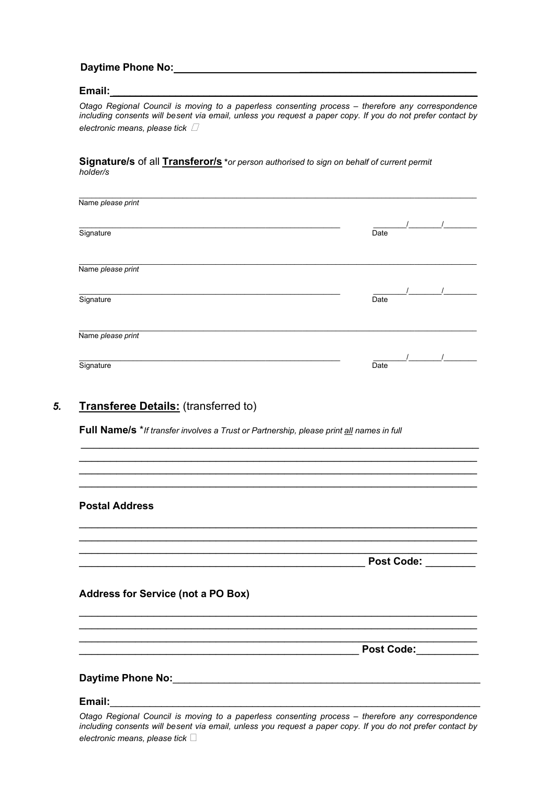## **Daytime Phone No: Daytime Phone** No:

## **Email:** \_\_\_\_\_\_\_\_\_\_\_\_\_\_\_\_\_\_\_\_\_\_\_\_\_\_\_\_\_\_\_\_\_\_\_\_\_\_\_\_\_\_\_\_\_\_\_\_\_\_\_\_\_\_\_\_\_\_\_\_\_\_\_\_

*Otago Regional Council is moving to a paperless consenting process – therefore any correspondence including consents will besent via email, unless you request a paper copy. If you do not prefer contact by electronic means, please tick*

**Signature/s** of all **Transferor/s \****or person authorised to sign on behalf of current permit holder/s*

| Name please print |      |
|-------------------|------|
| Signature         | Date |
|                   |      |
| Name please print |      |
|                   |      |
| Signature         | Date |
|                   |      |
| Name please print |      |
|                   |      |
| Signature         | Date |

# *5.* **Transferee Details:** (transferred to)

**Full Name/s** \**If transfer involves a Trust or Partnership, please print all names in full*

| <b>Postal Address</b>                                                                            |                     |
|--------------------------------------------------------------------------------------------------|---------------------|
|                                                                                                  |                     |
|                                                                                                  | Post Code: ________ |
| <b>Address for Service (not a PO Box)</b>                                                        |                     |
|                                                                                                  |                     |
|                                                                                                  | <b>Post Code:</b>   |
|                                                                                                  |                     |
|                                                                                                  |                     |
| Otogo Dogional Council is moving to a nonorlogo consenting process. therefore any correspondence |                     |

\_\_\_\_\_\_\_\_\_\_\_\_\_\_\_\_\_\_\_\_\_\_\_\_\_\_\_\_\_\_\_\_\_\_\_\_\_\_\_\_\_\_\_\_\_\_\_\_\_\_\_\_\_\_\_\_\_\_\_\_\_\_\_\_

*Otago Regional Council is moving to a paperless consenting process – therefore any correspondence including consents will besent via email, unless you request a paper copy. If you do not prefer contact by electronic means, please tick*